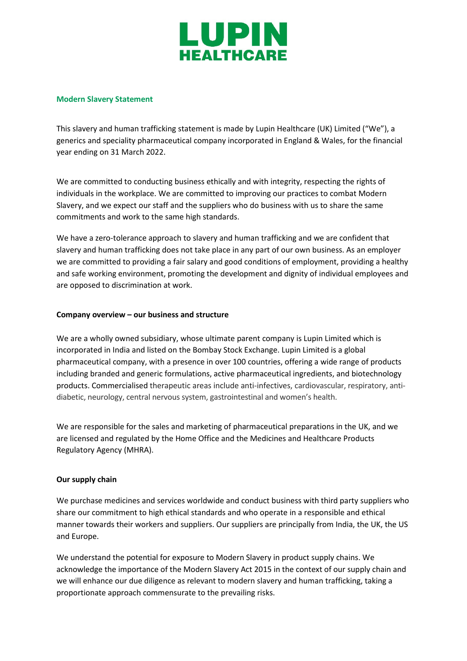

#### **Modern Slavery Statement**

This slavery and human trafficking statement is made by Lupin Healthcare (UK) Limited ("We"), a generics and speciality pharmaceutical company incorporated in England & Wales, for the financial year ending on 31 March 2022.

We are committed to conducting business ethically and with integrity, respecting the rights of individuals in the workplace. We are committed to improving our practices to combat Modern Slavery, and we expect our staff and the suppliers who do business with us to share the same commitments and work to the same high standards.

We have a zero-tolerance approach to slavery and human trafficking and we are confident that slavery and human trafficking does not take place in any part of our own business. As an employer we are committed to providing a fair salary and good conditions of employment, providing a healthy and safe working environment, promoting the development and dignity of individual employees and are opposed to discrimination at work.

### **Company overview – our business and structure**

We are a wholly owned subsidiary, whose ultimate parent company is Lupin Limited which is incorporated in India and listed on the Bombay Stock Exchange. Lupin Limited is a global pharmaceutical company, with a presence in over 100 countries, offering a wide range of products including branded and generic formulations, active pharmaceutical ingredients, and biotechnology products. Commercialised therapeutic areas include anti-infectives, cardiovascular, respiratory, antidiabetic, neurology, central nervous system, gastrointestinal and women's health.

We are responsible for the sales and marketing of pharmaceutical preparations in the UK, and we are licensed and regulated by the Home Office and the Medicines and Healthcare Products Regulatory Agency (MHRA).

### **Our supply chain**

We purchase medicines and services worldwide and conduct business with third party suppliers who share our commitment to high ethical standards and who operate in a responsible and ethical manner towards their workers and suppliers. Our suppliers are principally from India, the UK, the US and Europe.

We understand the potential for exposure to Modern Slavery in product supply chains. We acknowledge the importance of the Modern Slavery Act 2015 in the context of our supply chain and we will enhance our due diligence as relevant to modern slavery and human trafficking, taking a proportionate approach commensurate to the prevailing risks.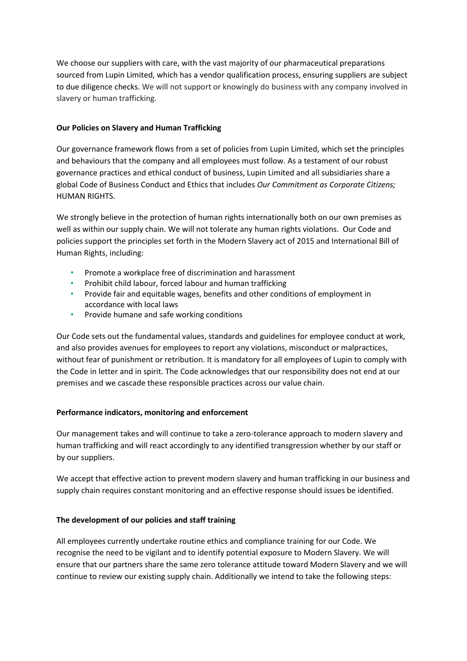We choose our suppliers with care, with the vast majority of our pharmaceutical preparations sourced from Lupin Limited, which has a vendor qualification process, ensuring suppliers are subject to due diligence checks. We will not support or knowingly do business with any company involved in slavery or human trafficking.

## **Our Policies on Slavery and Human Trafficking**

Our governance framework flows from a set of policies from Lupin Limited, which set the principles and behaviours that the company and all employees must follow. As a testament of our robust governance practices and ethical conduct of business, Lupin Limited and all subsidiaries share a global Code of Business Conduct and Ethics that includes *Our Commitment as Corporate Citizens;* HUMAN RIGHTS.

We strongly believe in the protection of human rights internationally both on our own premises as well as within our supply chain. We will not tolerate any human rights violations. Our Code and policies support the principles set forth in the Modern Slavery act of 2015 and International Bill of Human Rights, including:

- Promote a workplace free of discrimination and harassment
- Prohibit child labour, forced labour and human trafficking
- Provide fair and equitable wages, benefits and other conditions of employment in accordance with local laws
- Provide humane and safe working conditions

Our Code sets out the fundamental values, standards and guidelines for employee conduct at work, and also provides avenues for employees to report any violations, misconduct or malpractices, without fear of punishment or retribution. It is mandatory for all employees of Lupin to comply with the Code in letter and in spirit. The Code acknowledges that our responsibility does not end at our premises and we cascade these responsible practices across our value chain.

# **Performance indicators, monitoring and enforcement**

Our management takes and will continue to take a zero-tolerance approach to modern slavery and human trafficking and will react accordingly to any identified transgression whether by our staff or by our suppliers.

We accept that effective action to prevent modern slavery and human trafficking in our business and supply chain requires constant monitoring and an effective response should issues be identified.

# **The development of our policies and staff training**

All employees currently undertake routine ethics and compliance training for our Code. We recognise the need to be vigilant and to identify potential exposure to Modern Slavery. We will ensure that our partners share the same zero tolerance attitude toward Modern Slavery and we will continue to review our existing supply chain. Additionally we intend to take the following steps: